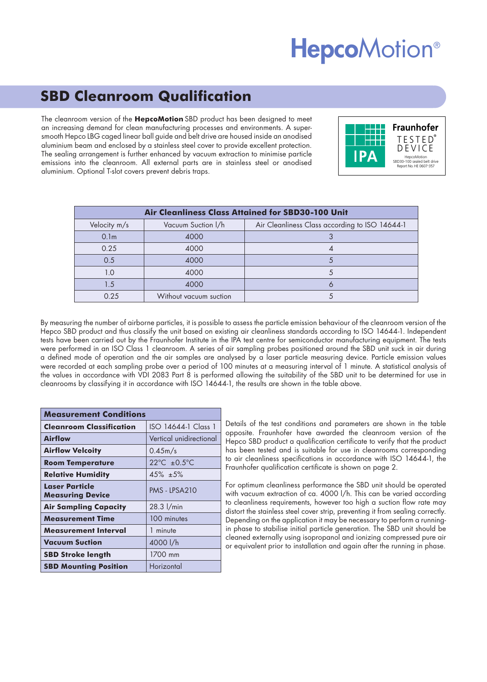## **HepcoMotion®**

### **SBD Cleanroom Qualification**

The cleanroom version of the **HepcoMotion** SBD product has been designed to meet an increasing demand for clean manufacturing processes and environments. A supersmooth Hepco LBG caged linear ball guide and belt drive are housed inside an anodised aluminium beam and enclosed by a stainless steel cover to provide excellent protection. The sealing arrangement is further enhanced by vacuum extraction to minimise particle emissions into the cleanroom. All external parts are in stainless steel or anodised aluminium. Optional T-slot covers prevent debris traps.



| <b>Air Cleanliness Class Attained for SBD30-100 Unit</b> |                        |                                                |
|----------------------------------------------------------|------------------------|------------------------------------------------|
| Velocity m/s                                             | Vacuum Suction I/h     | Air Cleanliness Class according to ISO 14644-1 |
| 0.1 <sub>m</sub>                                         | 4000                   |                                                |
| 0.25                                                     | 4000                   |                                                |
| 0.5                                                      | 4000                   |                                                |
| 1.0                                                      | 4000                   |                                                |
| 1.5                                                      | 4000                   |                                                |
| 0.25                                                     | Without vacuum suction |                                                |

By measuring the number of airborne particles, it is possible to assess the particle emission behaviour of the cleanroom version of the Hepco SBD product and thus classify the unit based on existing air cleanliness standards according to ISO 14644-1. Independent tests have been carried out by the Fraunhofer Institute in the IPA test centre for semiconductor manufacturing equipment. The tests were performed in an ISO Class 1 cleanroom. A series of air sampling probes positioned around the SBD unit suck in air during a defined mode of operation and the air samples are analysed by a laser particle measuring device. Particle emission values were recorded at each sampling probe over a period of 100 minutes at a measuring interval of 1 minute. A statistical analysis of the values in accordance with VDI 2083 Part 8 is performed allowing the suitability of the SBD unit to be determined for use in cleanrooms by classifying it in accordance with ISO 14644-1, the results are shown in the table above.

| <b>Measurement Conditions</b>                    |                         |  |
|--------------------------------------------------|-------------------------|--|
| <b>Cleanroom Classification</b>                  | ISO 14644-1 Class 1     |  |
| <b>Airflow</b>                                   | Vertical unidirectional |  |
| <b>Airflow Velcoity</b>                          | 0.45m/s                 |  |
| <b>Room Temperature</b>                          | 22°C $\pm 0.5$ °C       |  |
| <b>Relative Humidity</b>                         | $45\% + 5\%$            |  |
| <b>Laser Particle</b><br><b>Measuring Device</b> | PMS - LPSA210           |  |
| <b>Air Sampling Capacity</b>                     | 28.3 l/min              |  |
| <b>Measurement Time</b>                          | 100 minutes             |  |
| Measurement Interval                             | 1 minute                |  |
| <b>Vacuum Suction</b>                            | 4000 l/h                |  |
| <b>SBD Stroke length</b>                         | 1700 mm                 |  |
| <b>SBD Mounting Position</b>                     | Horizontal              |  |

Details of the test conditions and parameters are shown in the table opposite. Fraunhofer have awarded the cleanroom version of the Hepco SBD product a qualification certificate to verify that the product has been tested and is suitable for use in cleanrooms corresponding to air cleanliness specifications in accordance with ISO 14644-1, the Fraunhofer qualification certificate is shown on page 2.

For optimum cleanliness performance the SBD unit should be operated with vacuum extraction of ca. 4000 l/h. This can be varied according to cleanliness requirements, however too high a suction flow rate may distort the stainless steel cover strip, preventing it from sealing correctly. Depending on the application it may be necessary to perform a runningin phase to stabilise initial particle generation. The SBD unit should be cleaned externally using isopropanol and ionizing compressed pure air or equivalent prior to installation and again after the running in phase.